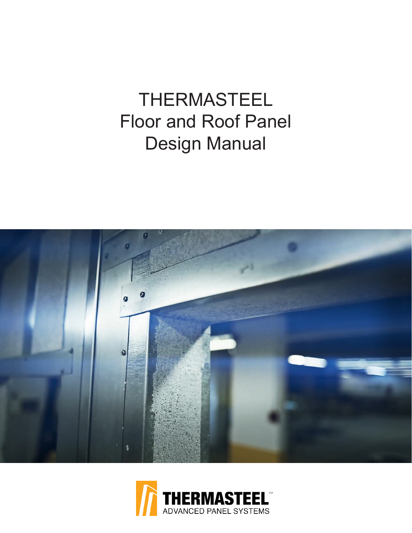# THERMASTEEL Floor and Roof Panel Design Manual



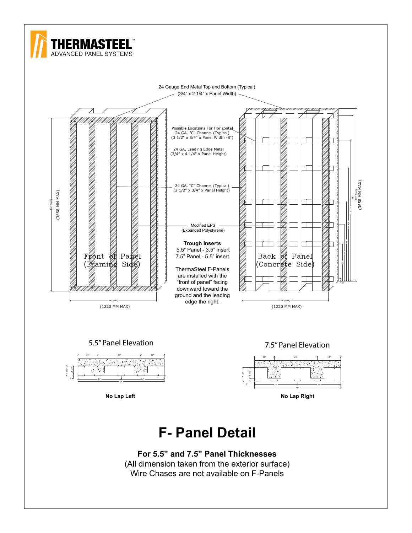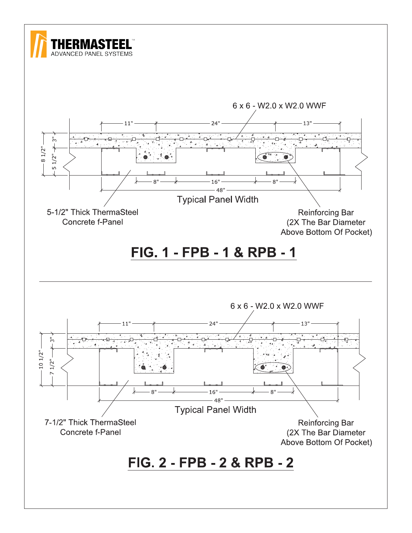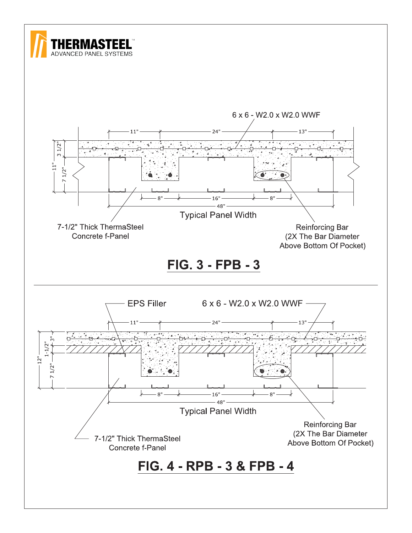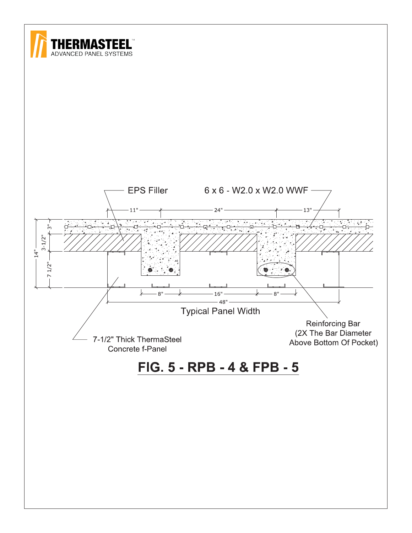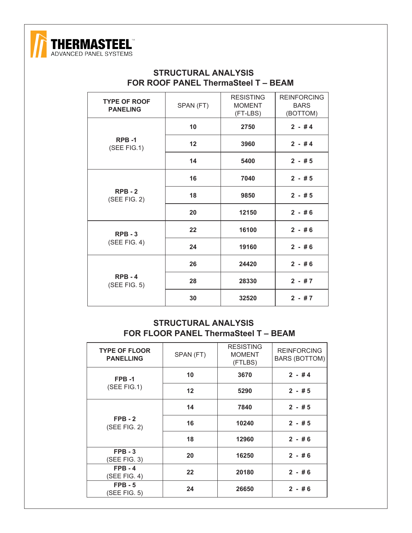

#### **STRUCTURAL ANALYSIS FOR ROOF PANEL ThermaSteel T – BEAM**

| <b>TYPE OF ROOF</b><br><b>PANELING</b> | SPAN (FT) | <b>RESISTING</b><br><b>MOMENT</b><br>(FT-LBS) | <b>REINFORCING</b><br><b>BARS</b><br>(BOTTOM) |
|----------------------------------------|-----------|-----------------------------------------------|-----------------------------------------------|
|                                        | 10        | 2750                                          | $2 - #4$                                      |
| RPB-1<br>(SEE FIG.1)                   | 12        | 3960                                          | $2 - #4$                                      |
|                                        | 14        | 5400                                          | $2 - #5$                                      |
|                                        | 16        | 7040                                          | $2 - #5$                                      |
| $RPB - 2$<br>$(SEE$ FIG. 2)            | 18        | 9850                                          | $2 - #5$                                      |
|                                        | 20        | 12150                                         | $2 - #6$                                      |
| $RPB - 3$                              | 22        | 16100                                         | $2 - #6$                                      |
| $(SEE$ FIG. 4)                         | 24        | 19160                                         | $2 - #6$                                      |
|                                        | 26        | 24420                                         | $2 - #6$                                      |
| $RPB - 4$<br>$(SEE$ FIG. 5)            | 28        | 28330                                         | $2 - #7$                                      |
|                                        | 30        | 32520                                         | $2 - #7$                                      |

#### **STRUCTURAL ANALYSIS FOR FLOOR PANEL ThermaSteel T – BEAM**

| <b>TYPE OF FLOOR</b><br><b>PANELLING</b> | SPAN (FT)         | <b>RESISTING</b><br><b>MOMENT</b><br>(FTLBS) | <b>REINFORCING</b><br><b>BARS (BOTTOM)</b> |
|------------------------------------------|-------------------|----------------------------------------------|--------------------------------------------|
| FPB-1                                    | 10                | 3670                                         | $2 - #4$                                   |
| $(SEE$ FIG.1)                            | $12 \overline{ }$ | 5290                                         | $2 - #5$                                   |
| $FPB - 2$<br>(SEE FIG. 2)                | 14                | 7840                                         | $2 - #5$                                   |
|                                          | 16                | 10240                                        | $2 - #5$                                   |
|                                          | 18                | 12960                                        | $2 - #6$                                   |
| $FPB - 3$<br>(SEE FIG. 3)                | 20                | 16250                                        | $2 - #6$                                   |
| $FPB - 4$<br>(SEE FIG. 4)                | 22                | 20180                                        | $2 - #6$                                   |
| $FPB - 5$<br>(SEE FIG. 5)                | 24                | 26650                                        | $2 - #6$                                   |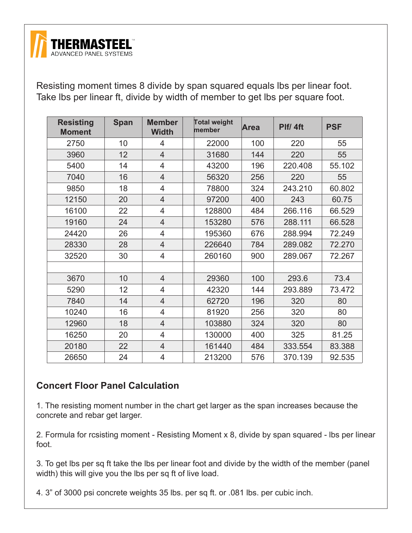

Resisting moment times 8 divide by span squared equals lbs per linear foot. Take lbs per linear ft, divide by width of member to get lbs per square foot.

| <b>Resisting</b><br><b>Moment</b> | <b>Span</b> | <b>Member</b><br><b>Width</b> | <b>Total weight</b><br>member | <b>Area</b> | Plf/ 4ft | <b>PSF</b> |
|-----------------------------------|-------------|-------------------------------|-------------------------------|-------------|----------|------------|
| 2750                              | 10          | 4                             | 22000                         | 100         | 220      | 55         |
| 3960                              | 12          | $\overline{4}$                | 31680                         | 144         | 220      | 55         |
| 5400                              | 14          | 4                             | 43200                         | 196         | 220.408  | 55.102     |
| 7040                              | 16          | $\overline{4}$                | 56320                         | 256         | 220      | 55         |
| 9850                              | 18          | 4                             | 78800                         | 324         | 243.210  | 60.802     |
| 12150                             | 20          | $\overline{4}$                | 97200                         | 400         | 243      | 60.75      |
| 16100                             | 22          | $\overline{4}$                | 128800                        | 484         | 266.116  | 66.529     |
| 19160                             | 24          | $\overline{4}$                | 153280                        | 576         | 288.111  | 66.528     |
| 24420                             | 26          | 4                             | 195360                        | 676         | 288.994  | 72.249     |
| 28330                             | 28          | $\overline{4}$                | 226640                        | 784         | 289.082  | 72.270     |
| 32520                             | 30          | 4                             | 260160                        | 900         | 289.067  | 72.267     |
|                                   |             |                               |                               |             |          |            |
| 3670                              | 10          | $\overline{4}$                | 29360                         | 100         | 293.6    | 73.4       |
| 5290                              | 12          | 4                             | 42320                         | 144         | 293.889  | 73.472     |
| 7840                              | 14          | $\overline{4}$                | 62720                         | 196         | 320      | 80         |
| 10240                             | 16          | $\overline{4}$                | 81920                         | 256         | 320      | 80         |
| 12960                             | 18          | $\overline{4}$                | 103880                        | 324         | 320      | 80         |
| 16250                             | 20          | $\overline{4}$                | 130000                        | 400         | 325      | 81.25      |
| 20180                             | 22          | 4                             | 161440                        | 484         | 333.554  | 83.388     |
| 26650                             | 24          | $\overline{4}$                | 213200                        | 576         | 370.139  | 92.535     |

## **Concert Floor Panel Calculation**

1. The resisting moment number in the chart get larger as the span increases because the concrete and rebar get larger.

2. Formula for rcsisting moment - Resisting Moment x 8, divide by span squared - lbs per linear foot.

3. To get lbs per sq ft take the lbs per linear foot and divide by the width of the member (panel width) this will give you the lbs per sq ft of live load.

4. 3" of 3000 psi concrete weights 35 lbs. per sq ft. or .081 lbs. per cubic inch.